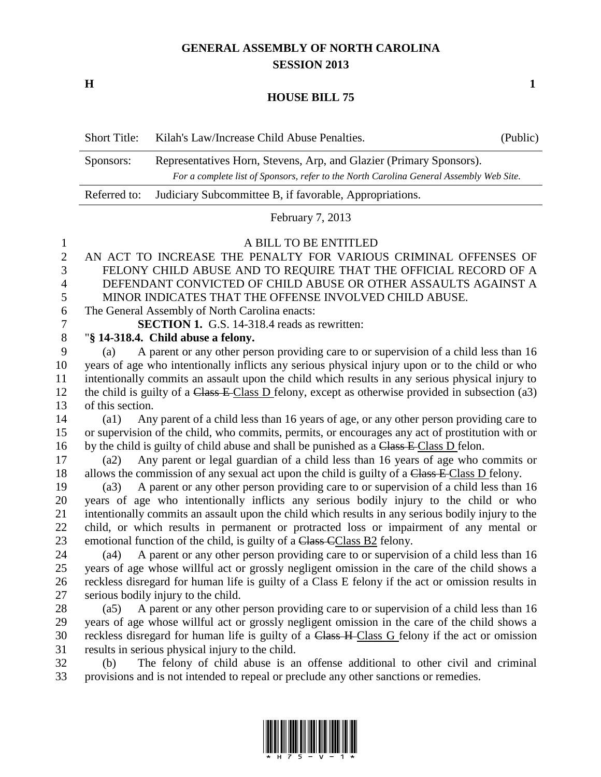## **GENERAL ASSEMBLY OF NORTH CAROLINA SESSION 2013**

**H 1**

## **HOUSE BILL 75**

| <b>Short Title:</b> | Kilah's Law/Increase Child Abuse Penalties.                                             | (Public) |
|---------------------|-----------------------------------------------------------------------------------------|----------|
| Sponsors:           | Representatives Horn, Stevens, Arp, and Glazier (Primary Sponsors).                     |          |
|                     | For a complete list of Sponsors, refer to the North Carolina General Assembly Web Site. |          |
| Referred to:        | Judiciary Subcommittee B, if favorable, Appropriations.                                 |          |

February 7, 2013

## A BILL TO BE ENTITLED

- AN ACT TO INCREASE THE PENALTY FOR VARIOUS CRIMINAL OFFENSES OF FELONY CHILD ABUSE AND TO REQUIRE THAT THE OFFICIAL RECORD OF A DEFENDANT CONVICTED OF CHILD ABUSE OR OTHER ASSAULTS AGAINST A MINOR INDICATES THAT THE OFFENSE INVOLVED CHILD ABUSE.
- The General Assembly of North Carolina enacts:

**SECTION 1.** G.S. 14-318.4 reads as rewritten:

## "**§ 14-318.4. Child abuse a felony.**

 (a) A parent or any other person providing care to or supervision of a child less than 16 years of age who intentionally inflicts any serious physical injury upon or to the child or who intentionally commits an assault upon the child which results in any serious physical injury to 12 the child is guilty of a Class E-Class D felony, except as otherwise provided in subsection (a3) of this section.

 (a1) Any parent of a child less than 16 years of age, or any other person providing care to or supervision of the child, who commits, permits, or encourages any act of prostitution with or 16 by the child is guilty of child abuse and shall be punished as a Class E-Class D felon.

 (a2) Any parent or legal guardian of a child less than 16 years of age who commits or 18 allows the commission of any sexual act upon the child is guilty of a Class E-Class D felony.

 (a3) A parent or any other person providing care to or supervision of a child less than 16 years of age who intentionally inflicts any serious bodily injury to the child or who intentionally commits an assault upon the child which results in any serious bodily injury to the child, or which results in permanent or protracted loss or impairment of any mental or 23 emotional function of the child, is guilty of a Class CClass B2 felony.

 (a4) A parent or any other person providing care to or supervision of a child less than 16 years of age whose willful act or grossly negligent omission in the care of the child shows a reckless disregard for human life is guilty of a Class E felony if the act or omission results in serious bodily injury to the child.

 (a5) A parent or any other person providing care to or supervision of a child less than 16 years of age whose willful act or grossly negligent omission in the care of the child shows a reckless disregard for human life is guilty of a Class H Class G felony if the act or omission results in serious physical injury to the child.

 (b) The felony of child abuse is an offense additional to other civil and criminal provisions and is not intended to repeal or preclude any other sanctions or remedies.